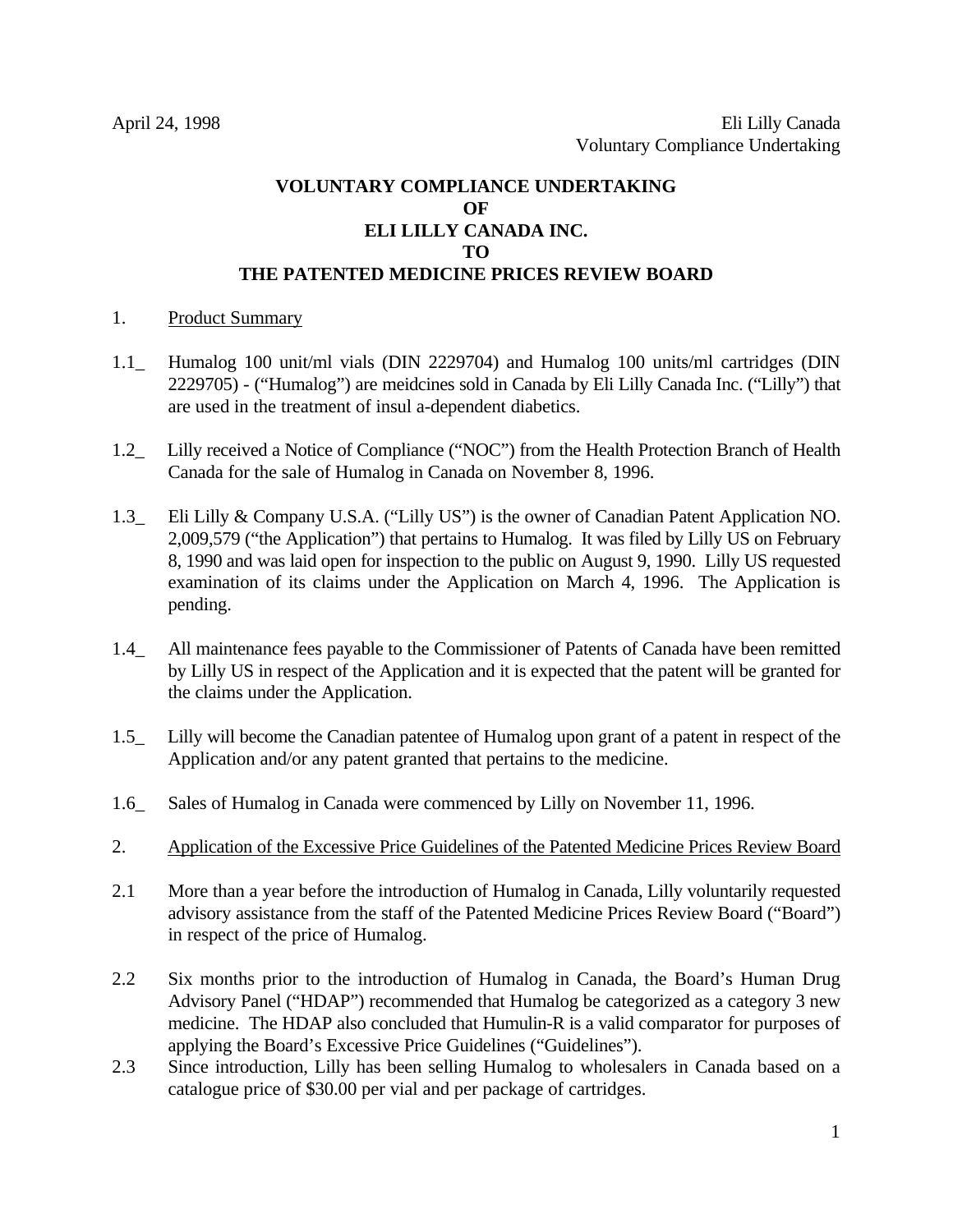# **VOLUNTARY COMPLIANCE UNDERTAKING OF ELI LILLY CANADA INC. TO THE PATENTED MEDICINE PRICES REVIEW BOARD**

#### 1. Product Summary

- 1.1\_ Humalog 100 unit/ml vials (DIN 2229704) and Humalog 100 units/ml cartridges (DIN 2229705) - ("Humalog") are meidcines sold in Canada by Eli Lilly Canada Inc. ("Lilly") that are used in the treatment of insul a-dependent diabetics.
- 1.2\_ Lilly received a Notice of Compliance ("NOC") from the Health Protection Branch of Health Canada for the sale of Humalog in Canada on November 8, 1996.
- 1.3\_ Eli Lilly & Company U.S.A. ("Lilly US") is the owner of Canadian Patent Application NO. 2,009,579 ("the Application") that pertains to Humalog. It was filed by Lilly US on February 8, 1990 and was laid open for inspection to the public on August 9, 1990. Lilly US requested examination of its claims under the Application on March 4, 1996. The Application is pending.
- 1.4\_ All maintenance fees payable to the Commissioner of Patents of Canada have been remitted by Lilly US in respect of the Application and it is expected that the patent will be granted for the claims under the Application.
- 1.5\_ Lilly will become the Canadian patentee of Humalog upon grant of a patent in respect of the Application and/or any patent granted that pertains to the medicine.
- 1.6\_ Sales of Humalog in Canada were commenced by Lilly on November 11, 1996.
- 2. Application of the Excessive Price Guidelines of the Patented Medicine Prices Review Board
- 2.1 More than a year before the introduction of Humalog in Canada, Lilly voluntarily requested advisory assistance from the staff of the Patented Medicine Prices Review Board ("Board") in respect of the price of Humalog.
- 2.2 Six months prior to the introduction of Humalog in Canada, the Board's Human Drug Advisory Panel ("HDAP") recommended that Humalog be categorized as a category 3 new medicine. The HDAP also concluded that Humulin-R is a valid comparator for purposes of applying the Board's Excessive Price Guidelines ("Guidelines").
- 2.3 Since introduction, Lilly has been selling Humalog to wholesalers in Canada based on a catalogue price of \$30.00 per vial and per package of cartridges.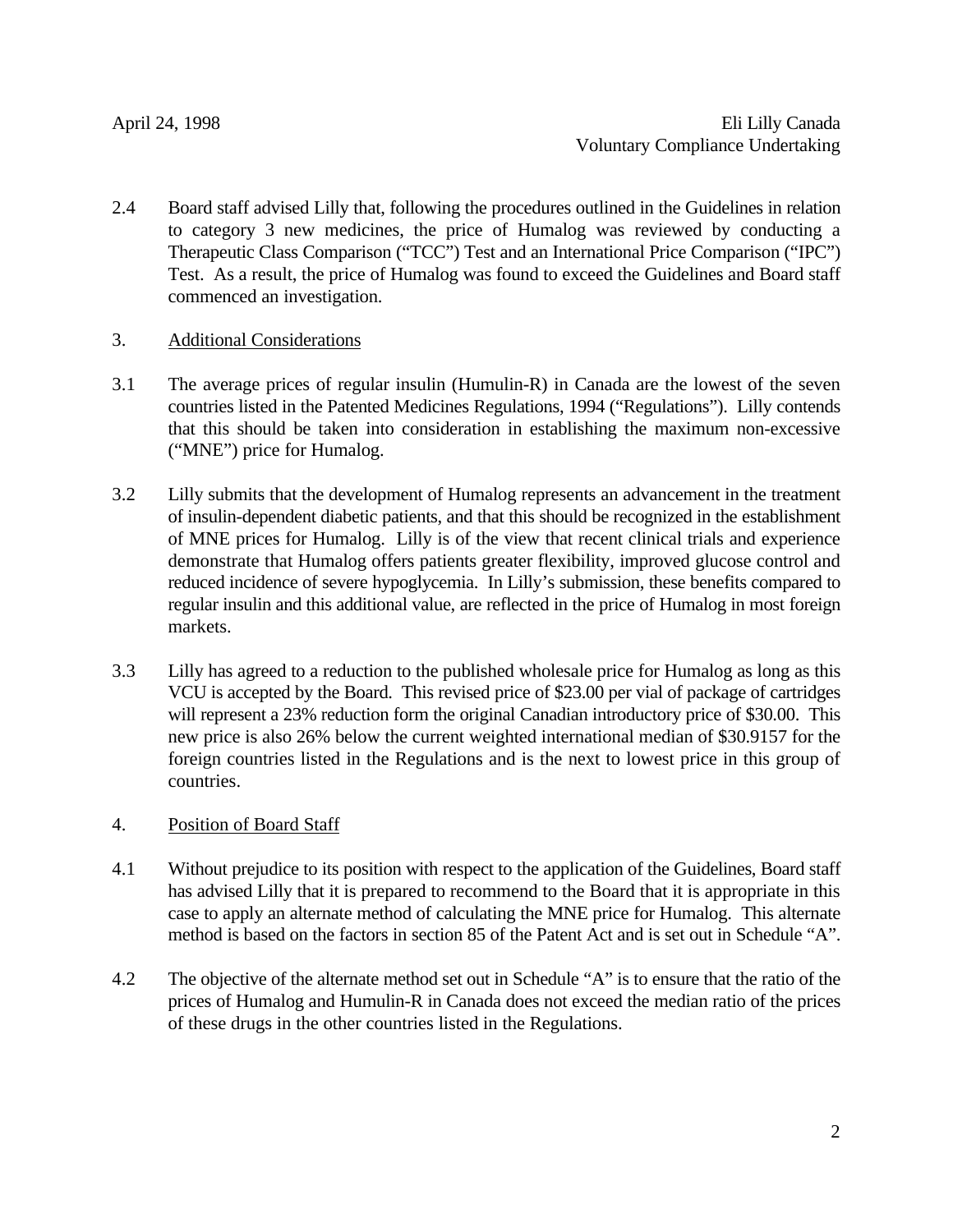2.4 Board staff advised Lilly that, following the procedures outlined in the Guidelines in relation to category 3 new medicines, the price of Humalog was reviewed by conducting a Therapeutic Class Comparison ("TCC") Test and an International Price Comparison ("IPC") Test. As a result, the price of Humalog was found to exceed the Guidelines and Board staff commenced an investigation.

### 3. Additional Considerations

- 3.1 The average prices of regular insulin (Humulin-R) in Canada are the lowest of the seven countries listed in the Patented Medicines Regulations, 1994 ("Regulations"). Lilly contends that this should be taken into consideration in establishing the maximum non-excessive ("MNE") price for Humalog.
- 3.2 Lilly submits that the development of Humalog represents an advancement in the treatment of insulin-dependent diabetic patients, and that this should be recognized in the establishment of MNE prices for Humalog. Lilly is of the view that recent clinical trials and experience demonstrate that Humalog offers patients greater flexibility, improved glucose control and reduced incidence of severe hypoglycemia. In Lilly's submission, these benefits compared to regular insulin and this additional value, are reflected in the price of Humalog in most foreign markets.
- 3.3 Lilly has agreed to a reduction to the published wholesale price for Humalog as long as this VCU is accepted by the Board. This revised price of \$23.00 per vial of package of cartridges will represent a 23% reduction form the original Canadian introductory price of \$30.00. This new price is also 26% below the current weighted international median of \$30.9157 for the foreign countries listed in the Regulations and is the next to lowest price in this group of countries.

## 4. Position of Board Staff

- 4.1 Without prejudice to its position with respect to the application of the Guidelines, Board staff has advised Lilly that it is prepared to recommend to the Board that it is appropriate in this case to apply an alternate method of calculating the MNE price for Humalog. This alternate method is based on the factors in section 85 of the Patent Act and is set out in Schedule "A".
- 4.2 The objective of the alternate method set out in Schedule "A" is to ensure that the ratio of the prices of Humalog and Humulin-R in Canada does not exceed the median ratio of the prices of these drugs in the other countries listed in the Regulations.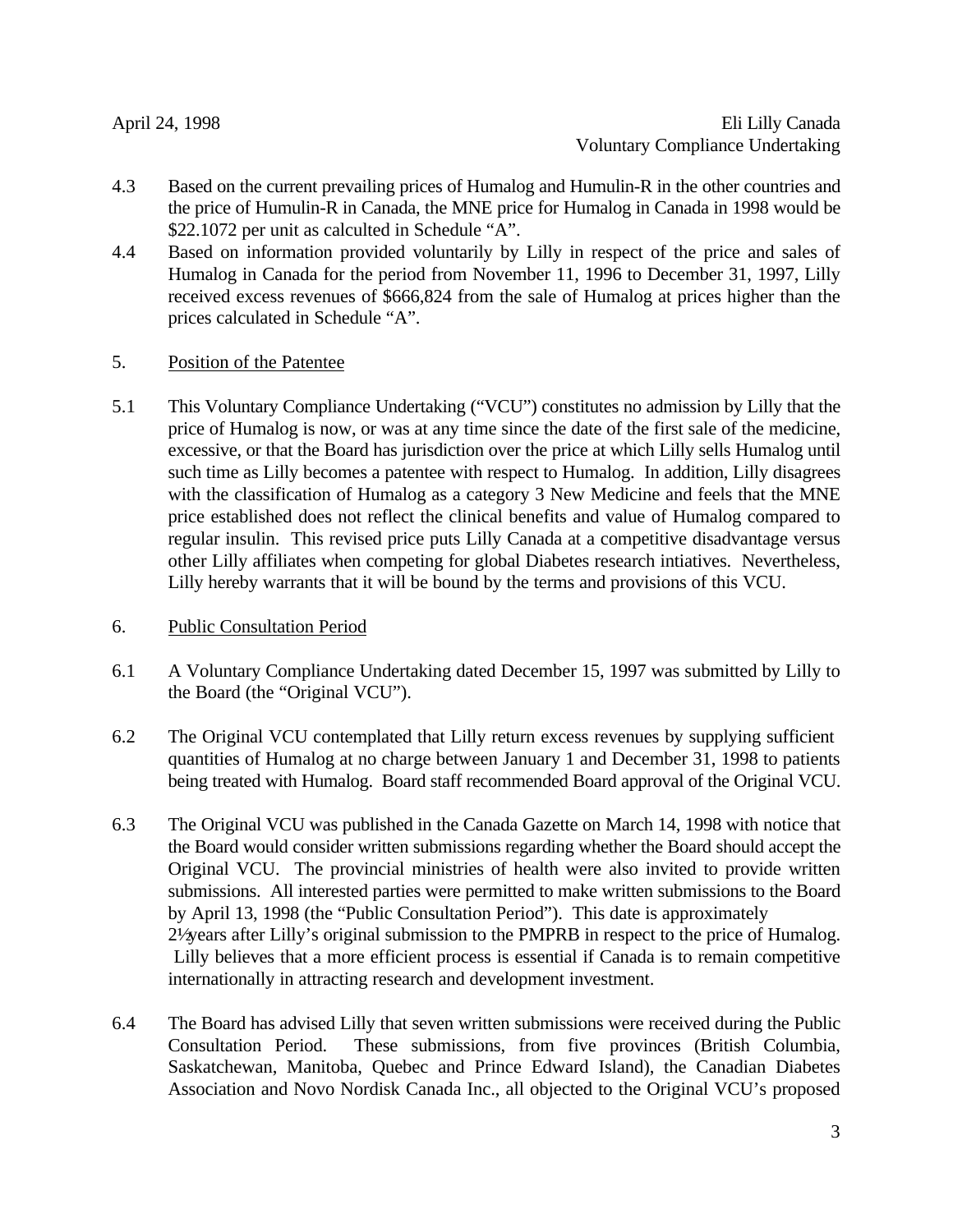- 4.3 Based on the current prevailing prices of Humalog and Humulin-R in the other countries and the price of Humulin-R in Canada, the MNE price for Humalog in Canada in 1998 would be \$22.1072 per unit as calculted in Schedule "A".
- 4.4 Based on information provided voluntarily by Lilly in respect of the price and sales of Humalog in Canada for the period from November 11, 1996 to December 31, 1997, Lilly received excess revenues of \$666,824 from the sale of Humalog at prices higher than the prices calculated in Schedule "A".
- 5. Position of the Patentee
- 5.1 This Voluntary Compliance Undertaking ("VCU") constitutes no admission by Lilly that the price of Humalog is now, or was at any time since the date of the first sale of the medicine, excessive, or that the Board has jurisdiction over the price at which Lilly sells Humalog until such time as Lilly becomes a patentee with respect to Humalog. In addition, Lilly disagrees with the classification of Humalog as a category 3 New Medicine and feels that the MNE price established does not reflect the clinical benefits and value of Humalog compared to regular insulin. This revised price puts Lilly Canada at a competitive disadvantage versus other Lilly affiliates when competing for global Diabetes research intiatives. Nevertheless, Lilly hereby warrants that it will be bound by the terms and provisions of this VCU.
- 6. Public Consultation Period
- 6.1 A Voluntary Compliance Undertaking dated December 15, 1997 was submitted by Lilly to the Board (the "Original VCU").
- 6.2 The Original VCU contemplated that Lilly return excess revenues by supplying sufficient quantities of Humalog at no charge between January 1 and December 31, 1998 to patients being treated with Humalog. Board staff recommended Board approval of the Original VCU.
- 6.3 The Original VCU was published in the Canada Gazette on March 14, 1998 with notice that the Board would consider written submissions regarding whether the Board should accept the Original VCU. The provincial ministries of health were also invited to provide written submissions. All interested parties were permitted to make written submissions to the Board by April 13, 1998 (the "Public Consultation Period"). This date is approximately 2<sup>1</sup>/<sub>2</sub> years after Lilly's original submission to the PMPRB in respect to the price of Humalog. Lilly believes that a more efficient process is essential if Canada is to remain competitive internationally in attracting research and development investment.
- 6.4 The Board has advised Lilly that seven written submissions were received during the Public Consultation Period. These submissions, from five provinces (British Columbia, Saskatchewan, Manitoba, Quebec and Prince Edward Island), the Canadian Diabetes Association and Novo Nordisk Canada Inc., all objected to the Original VCU's proposed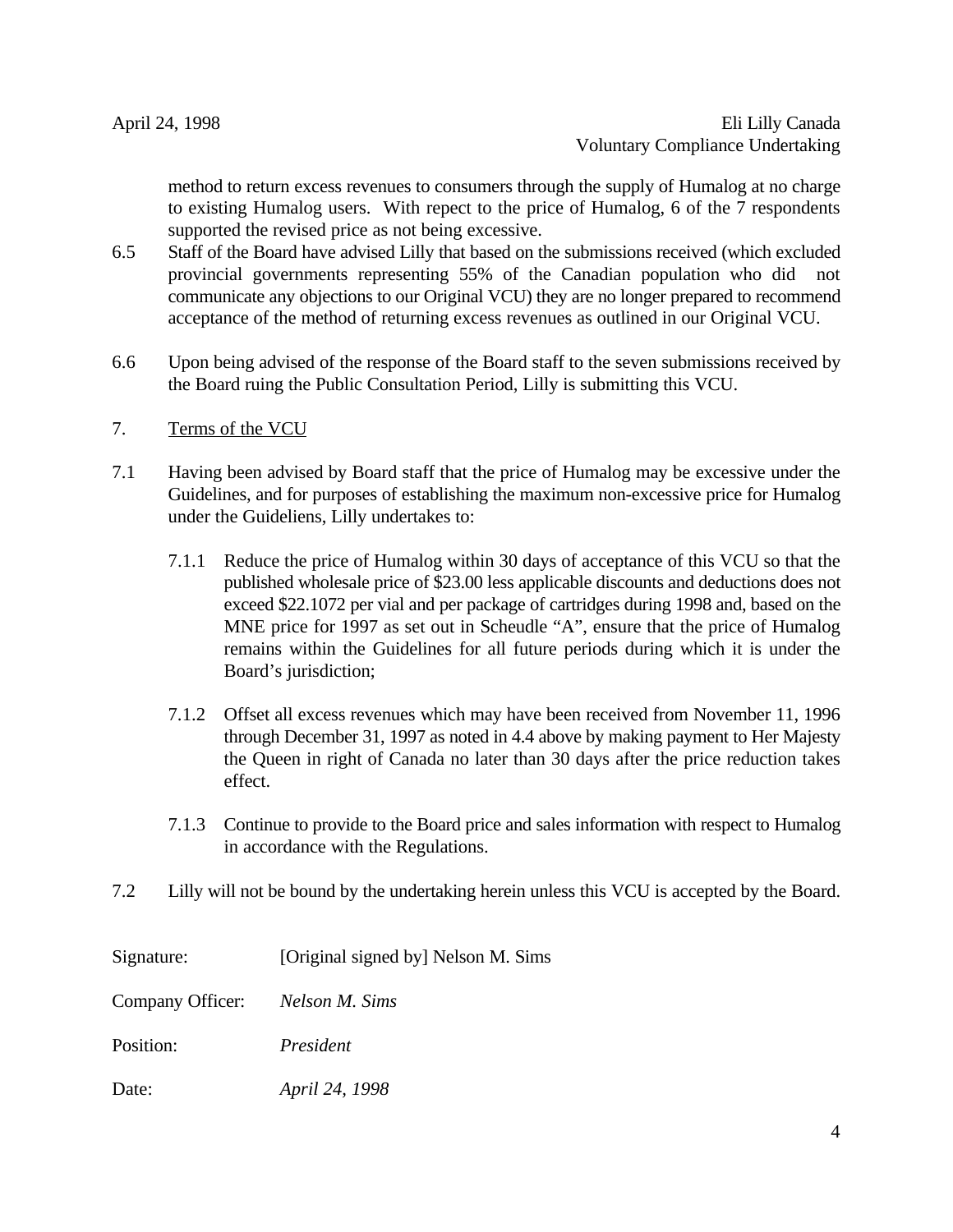method to return excess revenues to consumers through the supply of Humalog at no charge to existing Humalog users. With repect to the price of Humalog, 6 of the 7 respondents supported the revised price as not being excessive.

- 6.5 Staff of the Board have advised Lilly that based on the submissions received (which excluded provincial governments representing 55% of the Canadian population who did not communicate any objections to our Original VCU) they are no longer prepared to recommend acceptance of the method of returning excess revenues as outlined in our Original VCU.
- 6.6 Upon being advised of the response of the Board staff to the seven submissions received by the Board ruing the Public Consultation Period, Lilly is submitting this VCU.
- 7. Terms of the VCU
- 7.1 Having been advised by Board staff that the price of Humalog may be excessive under the Guidelines, and for purposes of establishing the maximum non-excessive price for Humalog under the Guideliens, Lilly undertakes to:
	- 7.1.1 Reduce the price of Humalog within 30 days of acceptance of this VCU so that the published wholesale price of \$23.00 less applicable discounts and deductions does not exceed \$22.1072 per vial and per package of cartridges during 1998 and, based on the MNE price for 1997 as set out in Scheudle "A", ensure that the price of Humalog remains within the Guidelines for all future periods during which it is under the Board's jurisdiction;
	- 7.1.2 Offset all excess revenues which may have been received from November 11, 1996 through December 31, 1997 as noted in 4.4 above by making payment to Her Majesty the Queen in right of Canada no later than 30 days after the price reduction takes effect.
	- 7.1.3 Continue to provide to the Board price and sales information with respect to Humalog in accordance with the Regulations.
- 7.2 Lilly will not be bound by the undertaking herein unless this VCU is accepted by the Board.

| Signature:                      | [Original signed by] Nelson M. Sims |
|---------------------------------|-------------------------------------|
| Company Officer: Nelson M. Sims |                                     |
| Position:                       | President                           |
| Date:                           | April 24, 1998                      |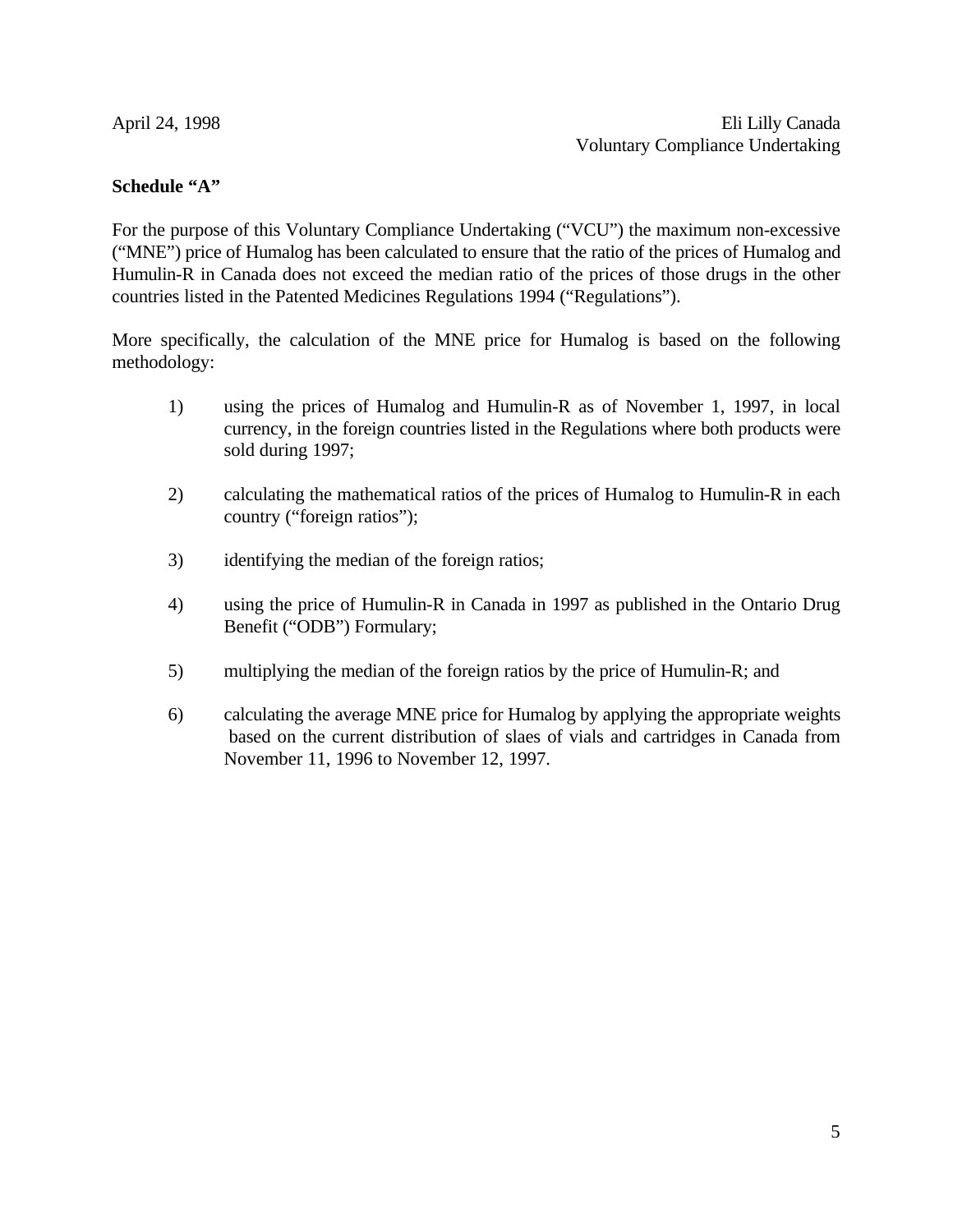#### **Schedule "A"**

For the purpose of this Voluntary Compliance Undertaking ("VCU") the maximum non-excessive ("MNE") price of Humalog has been calculated to ensure that the ratio of the prices of Humalog and Humulin-R in Canada does not exceed the median ratio of the prices of those drugs in the other countries listed in the Patented Medicines Regulations 1994 ("Regulations").

More specifically, the calculation of the MNE price for Humalog is based on the following methodology:

- 1) using the prices of Humalog and Humulin-R as of November 1, 1997, in local currency, in the foreign countries listed in the Regulations where both products were sold during 1997;
- 2) calculating the mathematical ratios of the prices of Humalog to Humulin-R in each country ("foreign ratios");
- 3) identifying the median of the foreign ratios;
- 4) using the price of Humulin-R in Canada in 1997 as published in the Ontario Drug Benefit ("ODB") Formulary;
- 5) multiplying the median of the foreign ratios by the price of Humulin-R; and
- 6) calculating the average MNE price for Humalog by applying the appropriate weights based on the current distribution of slaes of vials and cartridges in Canada from November 11, 1996 to November 12, 1997.